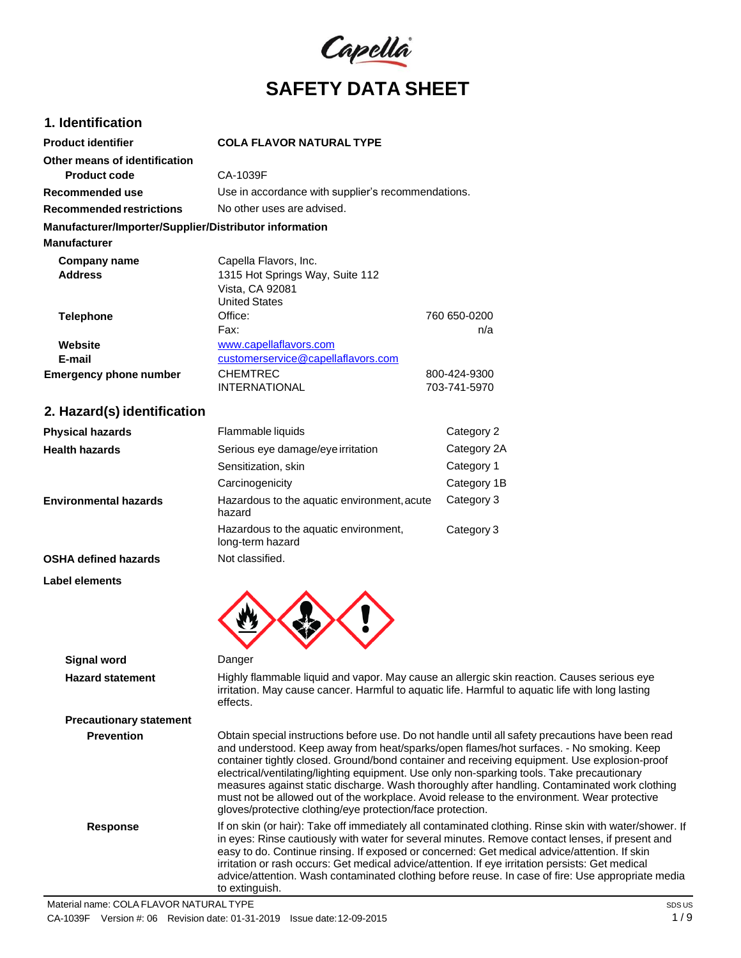

## **1. Identification**

| <b>Product identifier</b>                              | <b>COLA FLAVOR NATURAL TYPE</b>                    |              |
|--------------------------------------------------------|----------------------------------------------------|--------------|
| Other means of identification                          |                                                    |              |
| <b>Product code</b>                                    | CA-1039F                                           |              |
| Recommended use                                        | Use in accordance with supplier's recommendations. |              |
| <b>Recommended restrictions</b>                        | No other uses are advised.                         |              |
| Manufacturer/Importer/Supplier/Distributor information |                                                    |              |
| <b>Manufacturer</b>                                    |                                                    |              |
| Company name                                           | Capella Flavors, Inc.                              |              |
| <b>Address</b>                                         | 1315 Hot Springs Way, Suite 112                    |              |
|                                                        | Vista, CA 92081                                    |              |
|                                                        | <b>United States</b>                               |              |
| <b>Telephone</b>                                       | Office:                                            | 760 650-0200 |
|                                                        | Fax:                                               | n/a          |
| Website                                                | www.capellaflavors.com                             |              |
| E-mail                                                 | customerservice@capellaflavors.com                 |              |
| <b>Emergency phone number</b>                          | <b>CHEMTREC</b>                                    | 800-424-9300 |
|                                                        | <b>INTERNATIONAL</b>                               | 703-741-5970 |

# **2. Hazard(s) identification**

| <b>Physical hazards</b>      | Flammable liquids                                         | Category 2  |
|------------------------------|-----------------------------------------------------------|-------------|
| <b>Health hazards</b>        | Serious eye damage/eye irritation                         | Category 2A |
|                              | Sensitization, skin                                       | Category 1  |
|                              | Carcinogenicity                                           | Category 1B |
| <b>Environmental hazards</b> | Hazardous to the aquatic environment, acute<br>hazard     | Category 3  |
|                              | Hazardous to the aquatic environment,<br>long-term hazard | Category 3  |
| <b>OSHA defined hazards</b>  | Not classified.                                           |             |
| <b>Label elements</b>        |                                                           |             |



| <b>Signal word</b>             | Danger                                                                                                                                                                                                                                                                                                                                                                                                                                                                                                                                                                                                                                                   |
|--------------------------------|----------------------------------------------------------------------------------------------------------------------------------------------------------------------------------------------------------------------------------------------------------------------------------------------------------------------------------------------------------------------------------------------------------------------------------------------------------------------------------------------------------------------------------------------------------------------------------------------------------------------------------------------------------|
| <b>Hazard statement</b>        | Highly flammable liquid and vapor. May cause an allergic skin reaction. Causes serious eye<br>irritation. May cause cancer. Harmful to aquatic life. Harmful to aquatic life with long lasting<br>effects.                                                                                                                                                                                                                                                                                                                                                                                                                                               |
| <b>Precautionary statement</b> |                                                                                                                                                                                                                                                                                                                                                                                                                                                                                                                                                                                                                                                          |
| <b>Prevention</b>              | Obtain special instructions before use. Do not handle until all safety precautions have been read<br>and understood. Keep away from heat/sparks/open flames/hot surfaces. - No smoking. Keep<br>container tightly closed. Ground/bond container and receiving equipment. Use explosion-proof<br>electrical/ventilating/lighting equipment. Use only non-sparking tools. Take precautionary<br>measures against static discharge. Wash thoroughly after handling. Contaminated work clothing<br>must not be allowed out of the workplace. Avoid release to the environment. Wear protective<br>gloves/protective clothing/eye protection/face protection. |
| Response                       | If on skin (or hair): Take off immediately all contaminated clothing. Rinse skin with water/shower. If<br>in eyes: Rinse cautiously with water for several minutes. Remove contact lenses, if present and<br>easy to do. Continue rinsing. If exposed or concerned: Get medical advice/attention. If skin<br>irritation or rash occurs: Get medical advice/attention. If eye irritation persists: Get medical<br>advice/attention. Wash contaminated clothing before reuse. In case of fire: Use appropriate media<br>to extinguish.                                                                                                                     |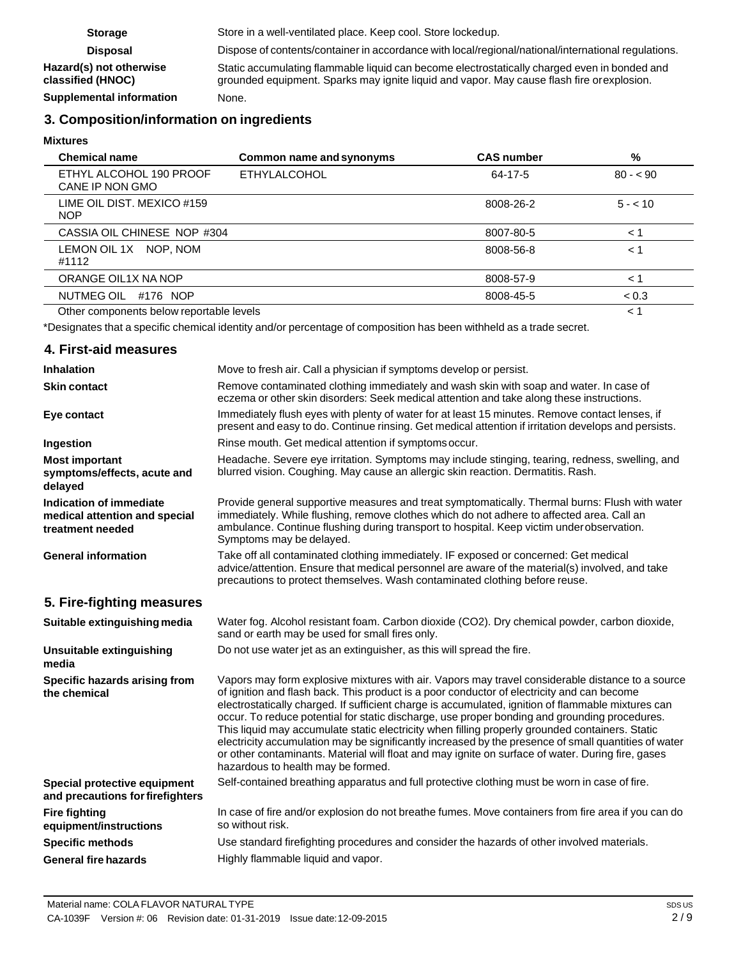| <b>Storage</b>                               | Store in a well-ventilated place. Keep cool. Store lockedup.                                                                                                                               |
|----------------------------------------------|--------------------------------------------------------------------------------------------------------------------------------------------------------------------------------------------|
| <b>Disposal</b>                              | Dispose of contents/container in accordance with local/regional/national/international regulations.                                                                                        |
| Hazard(s) not otherwise<br>classified (HNOC) | Static accumulating flammable liquid can become electrostatically charged even in bonded and<br>grounded equipment. Sparks may ignite liquid and vapor. May cause flash fire or explosion. |
| Supplemental information                     | None.                                                                                                                                                                                      |

### **3. Composition/information on ingredients**

### **Mixtures**

| <b>Chemical name</b>                       | Common name and synonyms | <b>CAS number</b> | %         |
|--------------------------------------------|--------------------------|-------------------|-----------|
| ETHYL ALCOHOL 190 PROOF<br>CANE IP NON GMO | <b>ETHYLALCOHOL</b>      | 64-17-5           | $80 - 90$ |
| LIME OIL DIST. MEXICO #159<br><b>NOP</b>   |                          | 8008-26-2         | $5 - 10$  |
| CASSIA OIL CHINESE NOP #304                |                          | 8007-80-5         | $\lt1$    |
| NOP. NOM<br>LEMON OIL 1X<br>#1112          |                          | 8008-56-8         | $\leq$ 1  |
| ORANGE OIL1X NA NOP                        |                          | 8008-57-9         | $\lt$ 1   |
| <b>NUTMEG OIL</b><br>#176 NOP              |                          | 8008-45-5         | < 0.3     |
| Other components below reportable levels   |                          |                   | 1 >       |

\*Designates that a specific chemical identity and/or percentage of composition has been withheld as a trade secret.

### **4. First-aid measures**

| <b>Inhalation</b>                                                                   | Move to fresh air. Call a physician if symptoms develop or persist.                                                                                                                                                                                                                                                                                                                                                                                                                                                                                                                                                                                                                                                                                         |
|-------------------------------------------------------------------------------------|-------------------------------------------------------------------------------------------------------------------------------------------------------------------------------------------------------------------------------------------------------------------------------------------------------------------------------------------------------------------------------------------------------------------------------------------------------------------------------------------------------------------------------------------------------------------------------------------------------------------------------------------------------------------------------------------------------------------------------------------------------------|
| <b>Skin contact</b>                                                                 | Remove contaminated clothing immediately and wash skin with soap and water. In case of<br>eczema or other skin disorders: Seek medical attention and take along these instructions.                                                                                                                                                                                                                                                                                                                                                                                                                                                                                                                                                                         |
| Eye contact                                                                         | Immediately flush eyes with plenty of water for at least 15 minutes. Remove contact lenses, if<br>present and easy to do. Continue rinsing. Get medical attention if irritation develops and persists.                                                                                                                                                                                                                                                                                                                                                                                                                                                                                                                                                      |
| Ingestion                                                                           | Rinse mouth. Get medical attention if symptoms occur.                                                                                                                                                                                                                                                                                                                                                                                                                                                                                                                                                                                                                                                                                                       |
| <b>Most important</b><br>symptoms/effects, acute and<br>delayed                     | Headache. Severe eye irritation. Symptoms may include stinging, tearing, redness, swelling, and<br>blurred vision. Coughing. May cause an allergic skin reaction. Dermatitis. Rash.                                                                                                                                                                                                                                                                                                                                                                                                                                                                                                                                                                         |
| <b>Indication of immediate</b><br>medical attention and special<br>treatment needed | Provide general supportive measures and treat symptomatically. Thermal burns: Flush with water<br>immediately. While flushing, remove clothes which do not adhere to affected area. Call an<br>ambulance. Continue flushing during transport to hospital. Keep victim under observation.<br>Symptoms may be delayed.                                                                                                                                                                                                                                                                                                                                                                                                                                        |
| <b>General information</b>                                                          | Take off all contaminated clothing immediately. IF exposed or concerned: Get medical<br>advice/attention. Ensure that medical personnel are aware of the material(s) involved, and take<br>precautions to protect themselves. Wash contaminated clothing before reuse.                                                                                                                                                                                                                                                                                                                                                                                                                                                                                      |
| 5. Fire-fighting measures                                                           |                                                                                                                                                                                                                                                                                                                                                                                                                                                                                                                                                                                                                                                                                                                                                             |
| Suitable extinguishing media                                                        | Water fog. Alcohol resistant foam. Carbon dioxide (CO2). Dry chemical powder, carbon dioxide,<br>sand or earth may be used for small fires only.                                                                                                                                                                                                                                                                                                                                                                                                                                                                                                                                                                                                            |
| Unsuitable extinguishing<br>media                                                   | Do not use water jet as an extinguisher, as this will spread the fire.                                                                                                                                                                                                                                                                                                                                                                                                                                                                                                                                                                                                                                                                                      |
| Specific hazards arising from<br>the chemical                                       | Vapors may form explosive mixtures with air. Vapors may travel considerable distance to a source<br>of ignition and flash back. This product is a poor conductor of electricity and can become<br>electrostatically charged. If sufficient charge is accumulated, ignition of flammable mixtures can<br>occur. To reduce potential for static discharge, use proper bonding and grounding procedures.<br>This liquid may accumulate static electricity when filling properly grounded containers. Static<br>electricity accumulation may be significantly increased by the presence of small quantities of water<br>or other contaminants. Material will float and may ignite on surface of water. During fire, gases<br>hazardous to health may be formed. |
| Special protective equipment<br>and precautions for firefighters                    | Self-contained breathing apparatus and full protective clothing must be worn in case of fire.                                                                                                                                                                                                                                                                                                                                                                                                                                                                                                                                                                                                                                                               |
| <b>Fire fighting</b><br>equipment/instructions                                      | In case of fire and/or explosion do not breathe fumes. Move containers from fire area if you can do<br>so without risk.                                                                                                                                                                                                                                                                                                                                                                                                                                                                                                                                                                                                                                     |
| <b>Specific methods</b>                                                             | Use standard firefighting procedures and consider the hazards of other involved materials.                                                                                                                                                                                                                                                                                                                                                                                                                                                                                                                                                                                                                                                                  |
| <b>General fire hazards</b>                                                         | Highly flammable liquid and vapor.                                                                                                                                                                                                                                                                                                                                                                                                                                                                                                                                                                                                                                                                                                                          |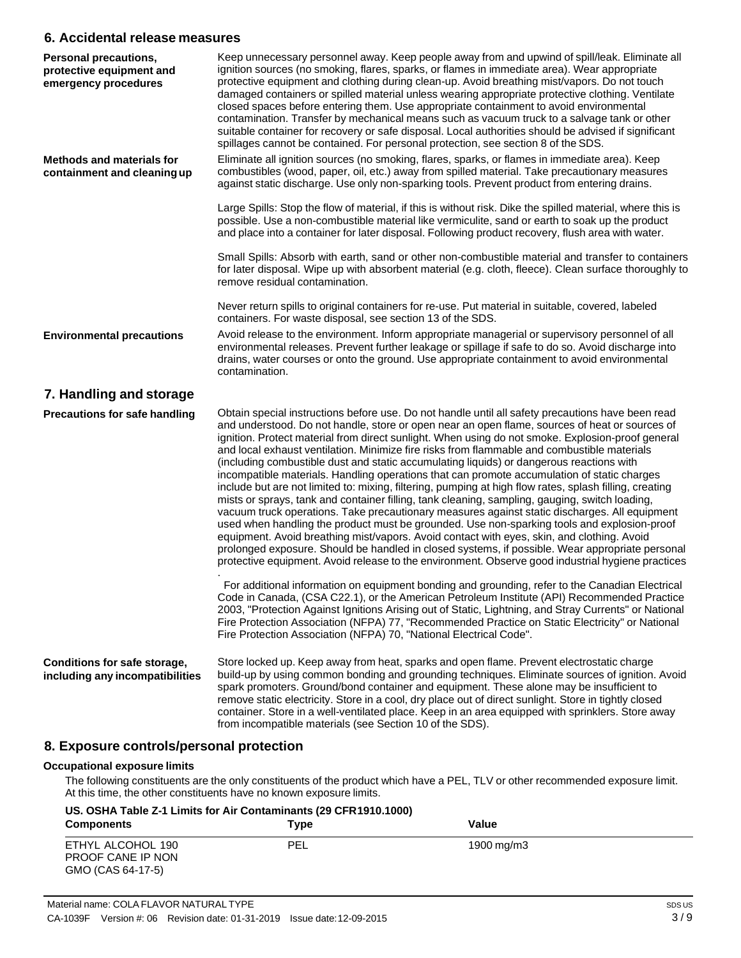#### **6. Accidental release measures**

| <b>Personal precautions,</b><br>protective equipment and<br>emergency procedures | Keep unnecessary personnel away. Keep people away from and upwind of spill/leak. Eliminate all<br>ignition sources (no smoking, flares, sparks, or flames in immediate area). Wear appropriate<br>protective equipment and clothing during clean-up. Avoid breathing mist/vapors. Do not touch<br>damaged containers or spilled material unless wearing appropriate protective clothing. Ventilate<br>closed spaces before entering them. Use appropriate containment to avoid environmental<br>contamination. Transfer by mechanical means such as vacuum truck to a salvage tank or other<br>suitable container for recovery or safe disposal. Local authorities should be advised if significant<br>spillages cannot be contained. For personal protection, see section 8 of the SDS.                                                                                                                                                                                                                                                                                                                                                                                                                                                                                                                              |
|----------------------------------------------------------------------------------|-----------------------------------------------------------------------------------------------------------------------------------------------------------------------------------------------------------------------------------------------------------------------------------------------------------------------------------------------------------------------------------------------------------------------------------------------------------------------------------------------------------------------------------------------------------------------------------------------------------------------------------------------------------------------------------------------------------------------------------------------------------------------------------------------------------------------------------------------------------------------------------------------------------------------------------------------------------------------------------------------------------------------------------------------------------------------------------------------------------------------------------------------------------------------------------------------------------------------------------------------------------------------------------------------------------------------|
| <b>Methods and materials for</b><br>containment and cleaning up                  | Eliminate all ignition sources (no smoking, flares, sparks, or flames in immediate area). Keep<br>combustibles (wood, paper, oil, etc.) away from spilled material. Take precautionary measures<br>against static discharge. Use only non-sparking tools. Prevent product from entering drains.                                                                                                                                                                                                                                                                                                                                                                                                                                                                                                                                                                                                                                                                                                                                                                                                                                                                                                                                                                                                                       |
|                                                                                  | Large Spills: Stop the flow of material, if this is without risk. Dike the spilled material, where this is<br>possible. Use a non-combustible material like vermiculite, sand or earth to soak up the product<br>and place into a container for later disposal. Following product recovery, flush area with water.                                                                                                                                                                                                                                                                                                                                                                                                                                                                                                                                                                                                                                                                                                                                                                                                                                                                                                                                                                                                    |
|                                                                                  | Small Spills: Absorb with earth, sand or other non-combustible material and transfer to containers<br>for later disposal. Wipe up with absorbent material (e.g. cloth, fleece). Clean surface thoroughly to<br>remove residual contamination.                                                                                                                                                                                                                                                                                                                                                                                                                                                                                                                                                                                                                                                                                                                                                                                                                                                                                                                                                                                                                                                                         |
|                                                                                  | Never return spills to original containers for re-use. Put material in suitable, covered, labeled<br>containers. For waste disposal, see section 13 of the SDS.                                                                                                                                                                                                                                                                                                                                                                                                                                                                                                                                                                                                                                                                                                                                                                                                                                                                                                                                                                                                                                                                                                                                                       |
| <b>Environmental precautions</b>                                                 | Avoid release to the environment. Inform appropriate managerial or supervisory personnel of all<br>environmental releases. Prevent further leakage or spillage if safe to do so. Avoid discharge into<br>drains, water courses or onto the ground. Use appropriate containment to avoid environmental<br>contamination.                                                                                                                                                                                                                                                                                                                                                                                                                                                                                                                                                                                                                                                                                                                                                                                                                                                                                                                                                                                               |
| 7. Handling and storage                                                          |                                                                                                                                                                                                                                                                                                                                                                                                                                                                                                                                                                                                                                                                                                                                                                                                                                                                                                                                                                                                                                                                                                                                                                                                                                                                                                                       |
| <b>Precautions for safe handling</b>                                             | Obtain special instructions before use. Do not handle until all safety precautions have been read<br>and understood. Do not handle, store or open near an open flame, sources of heat or sources of<br>ignition. Protect material from direct sunlight. When using do not smoke. Explosion-proof general<br>and local exhaust ventilation. Minimize fire risks from flammable and combustible materials<br>(including combustible dust and static accumulating liquids) or dangerous reactions with<br>incompatible materials. Handling operations that can promote accumulation of static charges<br>include but are not limited to: mixing, filtering, pumping at high flow rates, splash filling, creating<br>mists or sprays, tank and container filling, tank cleaning, sampling, gauging, switch loading,<br>vacuum truck operations. Take precautionary measures against static discharges. All equipment<br>used when handling the product must be grounded. Use non-sparking tools and explosion-proof<br>equipment. Avoid breathing mist/vapors. Avoid contact with eyes, skin, and clothing. Avoid<br>prolonged exposure. Should be handled in closed systems, if possible. Wear appropriate personal<br>protective equipment. Avoid release to the environment. Observe good industrial hygiene practices |
|                                                                                  | For additional information on equipment bonding and grounding, refer to the Canadian Electrical<br>Code in Canada, (CSA C22.1), or the American Petroleum Institute (API) Recommended Practice<br>2003, "Protection Against Ignitions Arising out of Static, Lightning, and Stray Currents" or National<br>Fire Protection Association (NFPA) 77, "Recommended Practice on Static Electricity" or National<br>Fire Protection Association (NFPA) 70, "National Electrical Code".                                                                                                                                                                                                                                                                                                                                                                                                                                                                                                                                                                                                                                                                                                                                                                                                                                      |
| Conditions for safe storage,<br>including any incompatibilities                  | Store locked up. Keep away from heat, sparks and open flame. Prevent electrostatic charge<br>build-up by using common bonding and grounding techniques. Eliminate sources of ignition. Avoid<br>spark promoters. Ground/bond container and equipment. These alone may be insufficient to<br>remove static electricity. Store in a cool, dry place out of direct sunlight. Store in tightly closed<br>container. Store in a well-ventilated place. Keep in an area equipped with sprinklers. Store away<br>from incompatible materials (see Section 10 of the SDS).                                                                                                                                                                                                                                                                                                                                                                                                                                                                                                                                                                                                                                                                                                                                                    |
| 8. Exposure controls/personal protection                                         |                                                                                                                                                                                                                                                                                                                                                                                                                                                                                                                                                                                                                                                                                                                                                                                                                                                                                                                                                                                                                                                                                                                                                                                                                                                                                                                       |

#### **Occupational exposure limits**

The following constituents are the only constituents of the product which have a PEL, TLV or other recommended exposure limit. At this time, the other constituents have no known exposure limits.

| US. OSHA Table Z-1 Limits for Air Contaminants (29 CFR1910.1000) |      |            |  |
|------------------------------------------------------------------|------|------------|--|
| <b>Components</b>                                                | Type | Value      |  |
| ETHYL ALCOHOL 190<br>PROOF CANE IP NON<br>GMO (CAS 64-17-5)      | PEL  | 1900 mg/m3 |  |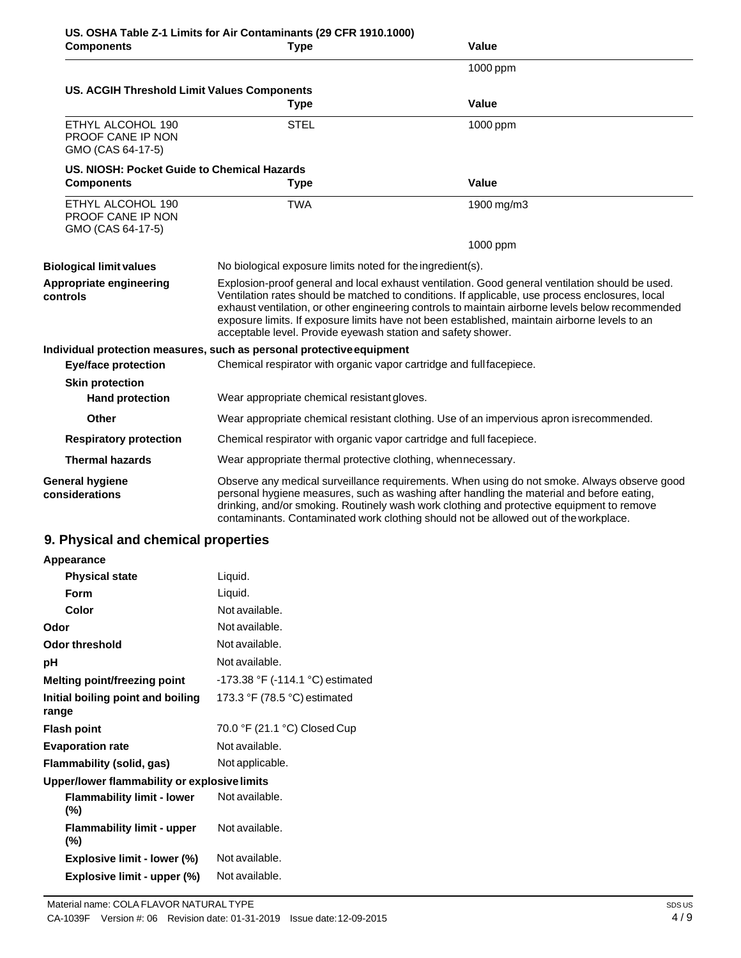| <b>Components</b>                                                  | US. OSHA Table Z-1 Limits for Air Contaminants (29 CFR 1910.1000)<br><b>Type</b>                                                                                                                                                                                                                                                                                                                                                                                        | <b>Value</b>                                                                                                                                                                                                                                                                                                                                                                  |
|--------------------------------------------------------------------|-------------------------------------------------------------------------------------------------------------------------------------------------------------------------------------------------------------------------------------------------------------------------------------------------------------------------------------------------------------------------------------------------------------------------------------------------------------------------|-------------------------------------------------------------------------------------------------------------------------------------------------------------------------------------------------------------------------------------------------------------------------------------------------------------------------------------------------------------------------------|
|                                                                    |                                                                                                                                                                                                                                                                                                                                                                                                                                                                         | 1000 ppm                                                                                                                                                                                                                                                                                                                                                                      |
| <b>US. ACGIH Threshold Limit Values Components</b>                 |                                                                                                                                                                                                                                                                                                                                                                                                                                                                         |                                                                                                                                                                                                                                                                                                                                                                               |
|                                                                    | <b>Type</b>                                                                                                                                                                                                                                                                                                                                                                                                                                                             | <b>Value</b>                                                                                                                                                                                                                                                                                                                                                                  |
| ETHYL ALCOHOL 190<br><b>PROOF CANE IP NON</b><br>GMO (CAS 64-17-5) | <b>STEL</b>                                                                                                                                                                                                                                                                                                                                                                                                                                                             | 1000 ppm                                                                                                                                                                                                                                                                                                                                                                      |
| US. NIOSH: Pocket Guide to Chemical Hazards                        |                                                                                                                                                                                                                                                                                                                                                                                                                                                                         |                                                                                                                                                                                                                                                                                                                                                                               |
| <b>Components</b>                                                  | <b>Type</b>                                                                                                                                                                                                                                                                                                                                                                                                                                                             | Value                                                                                                                                                                                                                                                                                                                                                                         |
| ETHYL ALCOHOL 190<br>PROOF CANE IP NON<br>GMO (CAS 64-17-5)        | <b>TWA</b>                                                                                                                                                                                                                                                                                                                                                                                                                                                              | 1900 mg/m3                                                                                                                                                                                                                                                                                                                                                                    |
|                                                                    |                                                                                                                                                                                                                                                                                                                                                                                                                                                                         | 1000 ppm                                                                                                                                                                                                                                                                                                                                                                      |
| <b>Biological limit values</b>                                     | No biological exposure limits noted for the ingredient(s).                                                                                                                                                                                                                                                                                                                                                                                                              |                                                                                                                                                                                                                                                                                                                                                                               |
| Appropriate engineering<br>controls                                | Explosion-proof general and local exhaust ventilation. Good general ventilation should be used.<br>Ventilation rates should be matched to conditions. If applicable, use process enclosures, local<br>exhaust ventilation, or other engineering controls to maintain airborne levels below recommended<br>exposure limits. If exposure limits have not been established, maintain airborne levels to an<br>acceptable level. Provide eyewash station and safety shower. |                                                                                                                                                                                                                                                                                                                                                                               |
|                                                                    | Individual protection measures, such as personal protective equipment                                                                                                                                                                                                                                                                                                                                                                                                   |                                                                                                                                                                                                                                                                                                                                                                               |
| <b>Eye/face protection</b>                                         | Chemical respirator with organic vapor cartridge and full facepiece.                                                                                                                                                                                                                                                                                                                                                                                                    |                                                                                                                                                                                                                                                                                                                                                                               |
| <b>Skin protection</b>                                             |                                                                                                                                                                                                                                                                                                                                                                                                                                                                         |                                                                                                                                                                                                                                                                                                                                                                               |
| <b>Hand protection</b>                                             | Wear appropriate chemical resistant gloves.                                                                                                                                                                                                                                                                                                                                                                                                                             |                                                                                                                                                                                                                                                                                                                                                                               |
| Other                                                              |                                                                                                                                                                                                                                                                                                                                                                                                                                                                         | Wear appropriate chemical resistant clothing. Use of an impervious apron is recommended.                                                                                                                                                                                                                                                                                      |
| <b>Respiratory protection</b>                                      | Chemical respirator with organic vapor cartridge and full facepiece.                                                                                                                                                                                                                                                                                                                                                                                                    |                                                                                                                                                                                                                                                                                                                                                                               |
| <b>Thermal hazards</b>                                             | Wear appropriate thermal protective clothing, whennecessary.                                                                                                                                                                                                                                                                                                                                                                                                            |                                                                                                                                                                                                                                                                                                                                                                               |
| General hygiene<br>considerations                                  |                                                                                                                                                                                                                                                                                                                                                                                                                                                                         | Observe any medical surveillance requirements. When using do not smoke. Always observe good<br>personal hygiene measures, such as washing after handling the material and before eating,<br>drinking, and/or smoking. Routinely wash work clothing and protective equipment to remove<br>contaminants. Contaminated work clothing should not be allowed out of the workplace. |

## **9. Physical and chemical properties**

**Appearance**

| <b>Physical state</b>                        | Liquid.                          |
|----------------------------------------------|----------------------------------|
| <b>Form</b>                                  | Liquid.                          |
| Color                                        | Not available.                   |
| Odor                                         | Not available.                   |
| <b>Odor threshold</b>                        | Not available.                   |
| рH                                           | Not available.                   |
| Melting point/freezing point                 | -173.38 °F (-114.1 °C) estimated |
| Initial boiling point and boiling<br>range   | 173.3 °F (78.5 °C) estimated     |
| <b>Flash point</b>                           | 70.0 °F (21.1 °C) Closed Cup     |
| <b>Evaporation rate</b>                      | Not available.                   |
| Flammability (solid, gas)                    | Not applicable.                  |
| Upper/lower flammability or explosive limits |                                  |
| <b>Flammability limit - lower</b><br>(%)     | Not available.                   |
| <b>Flammability limit - upper</b><br>(%)     | Not available.                   |
| Explosive limit - lower (%)                  | Not available.                   |
| Explosive limit - upper (%)                  | Not available.                   |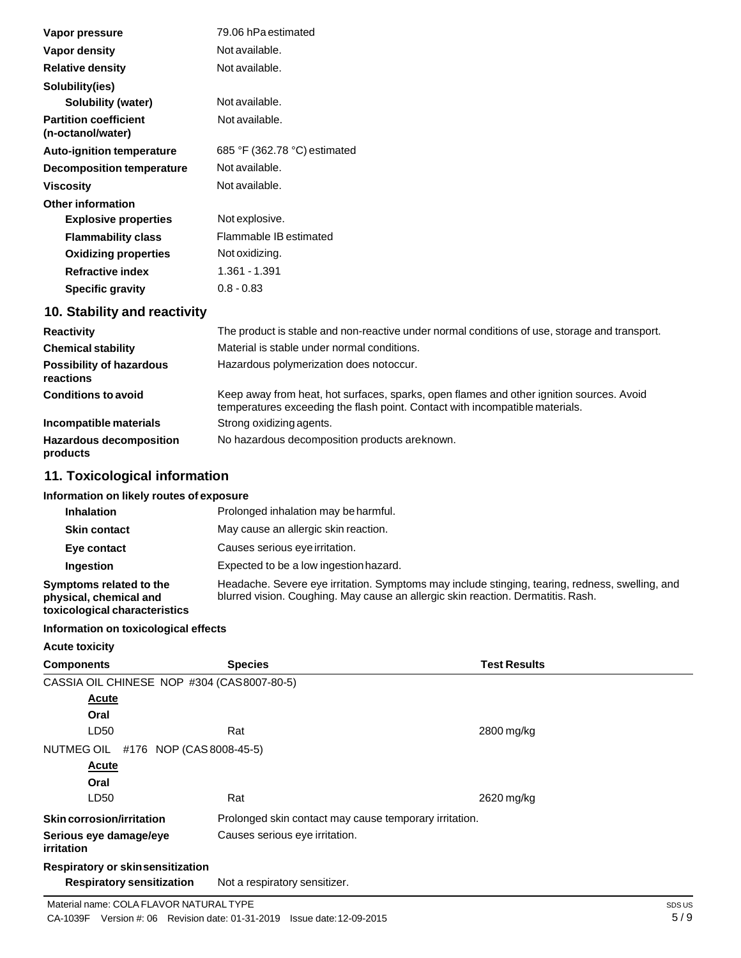| Vapor pressure                                    | 79.06 hPa estimated          |
|---------------------------------------------------|------------------------------|
| Vapor density                                     | Not available.               |
| <b>Relative density</b>                           | Not available.               |
| Solubility(ies)                                   |                              |
| Solubility (water)                                | Not available.               |
| <b>Partition coefficient</b><br>(n-octanol/water) | Not available.               |
| <b>Auto-ignition temperature</b>                  | 685 °F (362.78 °C) estimated |
| <b>Decomposition temperature</b>                  | Not available.               |
| <b>Viscosity</b>                                  | Not available.               |
| <b>Other information</b>                          |                              |
| <b>Explosive properties</b>                       | Not explosive.               |
| <b>Flammability class</b>                         | Flammable IB estimated       |
| <b>Oxidizing properties</b>                       | Not oxidizing.               |
| <b>Refractive index</b>                           | 1.361 - 1.391                |
| <b>Specific gravity</b>                           | $0.8 - 0.83$                 |
| 10. Stability and reactivity                      |                              |

| <b>Reactivity</b>                            | The product is stable and non-reactive under normal conditions of use, storage and transport.                                                                            |
|----------------------------------------------|--------------------------------------------------------------------------------------------------------------------------------------------------------------------------|
| <b>Chemical stability</b>                    | Material is stable under normal conditions.                                                                                                                              |
| <b>Possibility of hazardous</b><br>reactions | Hazardous polymerization does notoccur.                                                                                                                                  |
| <b>Conditions to avoid</b>                   | Keep away from heat, hot surfaces, sparks, open flames and other ignition sources. Avoid<br>temperatures exceeding the flash point. Contact with incompatible materials. |
| Incompatible materials                       | Strong oxidizing agents.                                                                                                                                                 |
| <b>Hazardous decomposition</b><br>products   | No hazardous decomposition products are known.                                                                                                                           |

# **11. Toxicological information**

### **Information on likely routes of exposure**

| <b>Inhalation</b>                                                                  | Prolonged inhalation may be harmful.                                                                                                                                                |
|------------------------------------------------------------------------------------|-------------------------------------------------------------------------------------------------------------------------------------------------------------------------------------|
| <b>Skin contact</b>                                                                | May cause an allergic skin reaction.                                                                                                                                                |
| Eye contact                                                                        | Causes serious eye irritation.                                                                                                                                                      |
| <b>Ingestion</b>                                                                   | Expected to be a low ingestion hazard.                                                                                                                                              |
| Symptoms related to the<br>physical, chemical and<br>toxicological characteristics | Headache. Severe eye irritation. Symptoms may include stinging, tearing, redness, swelling, and<br>blurred vision. Coughing. May cause an allergic skin reaction. Dermatitis. Rash. |

### **Information on toxicological effects**

**Acute toxicity**

| <b>Components</b>                          | <b>Species</b>                                         | <b>Test Results</b> |
|--------------------------------------------|--------------------------------------------------------|---------------------|
| CASSIA OIL CHINESE NOP #304 (CAS8007-80-5) |                                                        |                     |
| Acute                                      |                                                        |                     |
| Oral                                       |                                                        |                     |
| LD50                                       | Rat                                                    | 2800 mg/kg          |
| #176 NOP (CAS 8008-45-5)<br>NUTMEG OIL     |                                                        |                     |
| Acute                                      |                                                        |                     |
| Oral                                       |                                                        |                     |
| LD50                                       | Rat                                                    | 2620 mg/kg          |
| Skin corrosion/irritation                  | Prolonged skin contact may cause temporary irritation. |                     |
| Serious eye damage/eye<br>irritation       | Causes serious eye irritation.                         |                     |
| Respiratory or skinsensitization           |                                                        |                     |
| <b>Respiratory sensitization</b>           | Not a respiratory sensitizer.                          |                     |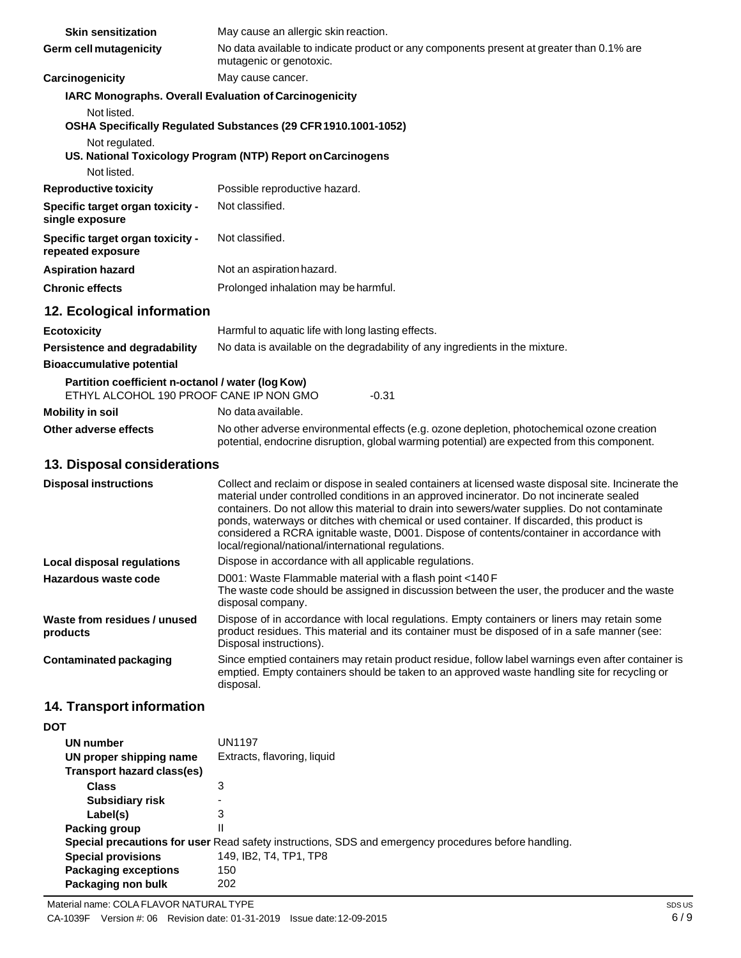| <b>Skin sensitization</b>                                                                    | May cause an allergic skin reaction.                                                                                                                                                                                                                                                                                                                                                                                                                                                                                                                |  |  |
|----------------------------------------------------------------------------------------------|-----------------------------------------------------------------------------------------------------------------------------------------------------------------------------------------------------------------------------------------------------------------------------------------------------------------------------------------------------------------------------------------------------------------------------------------------------------------------------------------------------------------------------------------------------|--|--|
| Germ cell mutagenicity                                                                       | No data available to indicate product or any components present at greater than 0.1% are<br>mutagenic or genotoxic.                                                                                                                                                                                                                                                                                                                                                                                                                                 |  |  |
| Carcinogenicity                                                                              | May cause cancer.                                                                                                                                                                                                                                                                                                                                                                                                                                                                                                                                   |  |  |
|                                                                                              | IARC Monographs. Overall Evaluation of Carcinogenicity                                                                                                                                                                                                                                                                                                                                                                                                                                                                                              |  |  |
| Not listed.                                                                                  | OSHA Specifically Regulated Substances (29 CFR 1910.1001-1052)                                                                                                                                                                                                                                                                                                                                                                                                                                                                                      |  |  |
| Not regulated.<br>Not listed.                                                                | US. National Toxicology Program (NTP) Report on Carcinogens                                                                                                                                                                                                                                                                                                                                                                                                                                                                                         |  |  |
| <b>Reproductive toxicity</b>                                                                 | Possible reproductive hazard.                                                                                                                                                                                                                                                                                                                                                                                                                                                                                                                       |  |  |
| Specific target organ toxicity -<br>single exposure                                          | Not classified.                                                                                                                                                                                                                                                                                                                                                                                                                                                                                                                                     |  |  |
| Specific target organ toxicity -<br>repeated exposure                                        | Not classified.                                                                                                                                                                                                                                                                                                                                                                                                                                                                                                                                     |  |  |
| <b>Aspiration hazard</b>                                                                     | Not an aspiration hazard.                                                                                                                                                                                                                                                                                                                                                                                                                                                                                                                           |  |  |
| <b>Chronic effects</b>                                                                       | Prolonged inhalation may be harmful.                                                                                                                                                                                                                                                                                                                                                                                                                                                                                                                |  |  |
| 12. Ecological information                                                                   |                                                                                                                                                                                                                                                                                                                                                                                                                                                                                                                                                     |  |  |
| <b>Ecotoxicity</b>                                                                           | Harmful to aquatic life with long lasting effects.                                                                                                                                                                                                                                                                                                                                                                                                                                                                                                  |  |  |
| <b>Persistence and degradability</b>                                                         | No data is available on the degradability of any ingredients in the mixture.                                                                                                                                                                                                                                                                                                                                                                                                                                                                        |  |  |
| <b>Bioaccumulative potential</b>                                                             |                                                                                                                                                                                                                                                                                                                                                                                                                                                                                                                                                     |  |  |
| Partition coefficient n-octanol / water (log Kow)<br>ETHYL ALCOHOL 190 PROOF CANE IP NON GMO | $-0.31$                                                                                                                                                                                                                                                                                                                                                                                                                                                                                                                                             |  |  |
| <b>Mobility in soil</b>                                                                      | No data available.                                                                                                                                                                                                                                                                                                                                                                                                                                                                                                                                  |  |  |
| Other adverse effects                                                                        | No other adverse environmental effects (e.g. ozone depletion, photochemical ozone creation<br>potential, endocrine disruption, global warming potential) are expected from this component.                                                                                                                                                                                                                                                                                                                                                          |  |  |
| 13. Disposal considerations                                                                  |                                                                                                                                                                                                                                                                                                                                                                                                                                                                                                                                                     |  |  |
| <b>Disposal instructions</b>                                                                 | Collect and reclaim or dispose in sealed containers at licensed waste disposal site. Incinerate the<br>material under controlled conditions in an approved incinerator. Do not incinerate sealed<br>containers. Do not allow this material to drain into sewers/water supplies. Do not contaminate<br>ponds, waterways or ditches with chemical or used container. If discarded, this product is<br>considered a RCRA ignitable waste, D001. Dispose of contents/container in accordance with<br>local/regional/national/international regulations. |  |  |
| Local disposal regulations                                                                   | Dispose in accordance with all applicable regulations.                                                                                                                                                                                                                                                                                                                                                                                                                                                                                              |  |  |
| Hazardous waste code                                                                         | D001: Waste Flammable material with a flash point <140 F<br>The waste code should be assigned in discussion between the user, the producer and the waste<br>disposal company.                                                                                                                                                                                                                                                                                                                                                                       |  |  |
| Waste from residues / unused<br>products                                                     | Dispose of in accordance with local regulations. Empty containers or liners may retain some<br>product residues. This material and its container must be disposed of in a safe manner (see:<br>Disposal instructions).                                                                                                                                                                                                                                                                                                                              |  |  |
| <b>Contaminated packaging</b>                                                                | Since emptied containers may retain product residue, follow label warnings even after container is<br>emptied. Empty containers should be taken to an approved waste handling site for recycling or<br>disposal.                                                                                                                                                                                                                                                                                                                                    |  |  |
| 14. Transport information                                                                    |                                                                                                                                                                                                                                                                                                                                                                                                                                                                                                                                                     |  |  |
| <b>DOT</b>                                                                                   |                                                                                                                                                                                                                                                                                                                                                                                                                                                                                                                                                     |  |  |
| UN number                                                                                    | UN1197                                                                                                                                                                                                                                                                                                                                                                                                                                                                                                                                              |  |  |
| UN proper shipping name<br><b>Transport hazard class(es)</b>                                 | Extracts, flavoring, liquid                                                                                                                                                                                                                                                                                                                                                                                                                                                                                                                         |  |  |
| <b>Class</b>                                                                                 | 3                                                                                                                                                                                                                                                                                                                                                                                                                                                                                                                                                   |  |  |
| <b>Subsidiary risk</b><br>Label(s)                                                           | 3                                                                                                                                                                                                                                                                                                                                                                                                                                                                                                                                                   |  |  |
|                                                                                              |                                                                                                                                                                                                                                                                                                                                                                                                                                                                                                                                                     |  |  |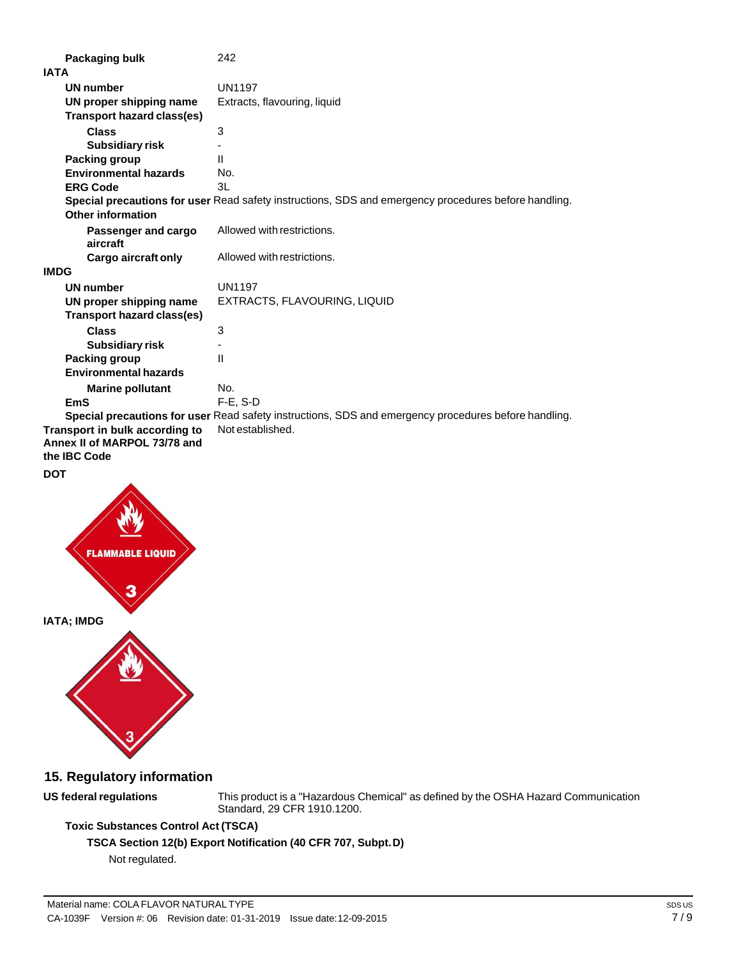| Packaging bulk                    | 242                                                                                                  |
|-----------------------------------|------------------------------------------------------------------------------------------------------|
| <b>IATA</b>                       |                                                                                                      |
| <b>UN number</b>                  | <b>UN1197</b>                                                                                        |
| UN proper shipping name           | Extracts, flavouring, liquid                                                                         |
| <b>Transport hazard class(es)</b> |                                                                                                      |
| <b>Class</b>                      | 3                                                                                                    |
| <b>Subsidiary risk</b>            |                                                                                                      |
| Packing group                     | $\mathbf{H}$                                                                                         |
| <b>Environmental hazards</b>      | No.                                                                                                  |
| <b>ERG Code</b>                   | 31                                                                                                   |
|                                   | Special precautions for user Read safety instructions, SDS and emergency procedures before handling. |
| <b>Other information</b>          |                                                                                                      |
| Passenger and cargo               | Allowed with restrictions.                                                                           |
| aircraft                          |                                                                                                      |
| Cargo aircraft only               | Allowed with restrictions.                                                                           |
| <b>IMDG</b>                       |                                                                                                      |
| <b>UN number</b>                  | <b>UN1197</b>                                                                                        |
| UN proper shipping name           | EXTRACTS, FLAVOURING, LIQUID                                                                         |
| <b>Transport hazard class(es)</b> |                                                                                                      |
| <b>Class</b>                      | 3                                                                                                    |
| <b>Subsidiary risk</b>            |                                                                                                      |
| Packing group                     | $\mathbf{H}$                                                                                         |
| <b>Environmental hazards</b>      |                                                                                                      |
| <b>Marine pollutant</b>           | No.                                                                                                  |
| <b>EmS</b>                        | $F-E. S-D$                                                                                           |
|                                   | Special precautions for user Read safety instructions, SDS and emergency procedures before handling. |
| Transport in bulk according to    | Not established.                                                                                     |
| Annex II of MARPOL 73/78 and      |                                                                                                      |
| the IBC Code                      |                                                                                                      |
| <b>DOT</b>                        |                                                                                                      |
|                                   |                                                                                                      |





**15. Regulatory information**

**US** federal regulations

This product is a "Hazardous Chemical" as defined by the OSHA Hazard Communication Standard, 29 CFR 1910.1200.

### **Toxic Substances Control Act (TSCA)**

**TSCA Section 12(b) Export Notification (40 CFR 707, Subpt.D)**

Not regulated.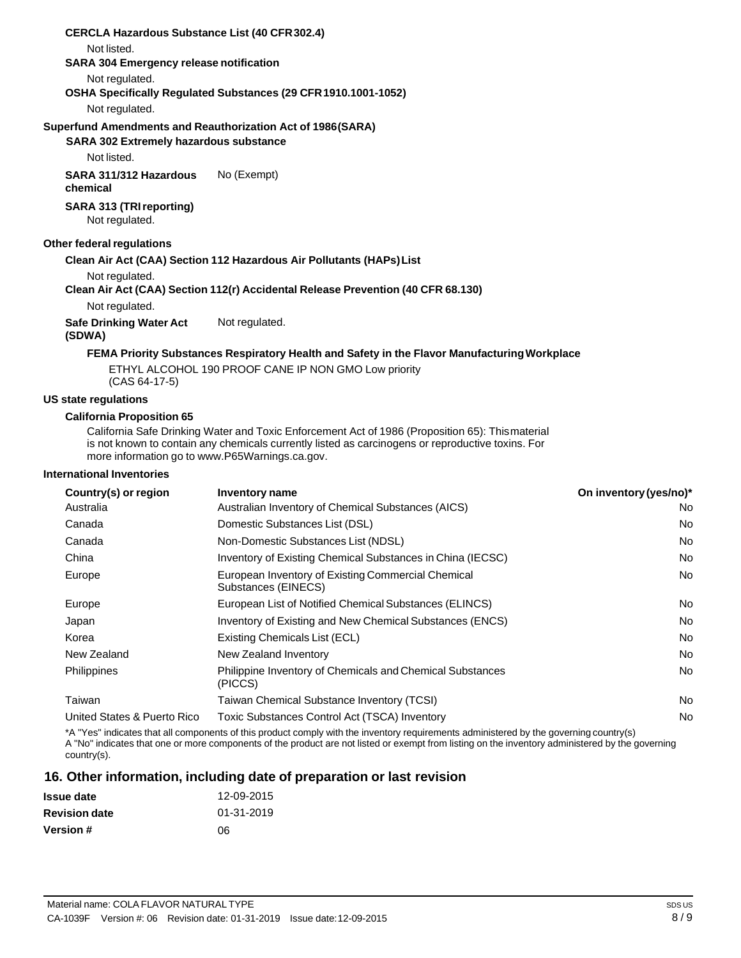| <b>CERCLA Hazardous Substance List (40 CFR 302.4)</b>      |                                                                                                                                                                                                      |
|------------------------------------------------------------|------------------------------------------------------------------------------------------------------------------------------------------------------------------------------------------------------|
| Not listed.                                                |                                                                                                                                                                                                      |
| <b>SARA 304 Emergency release notification</b>             |                                                                                                                                                                                                      |
| Not regulated.                                             |                                                                                                                                                                                                      |
|                                                            | OSHA Specifically Regulated Substances (29 CFR 1910.1001-1052)                                                                                                                                       |
| Not regulated.                                             |                                                                                                                                                                                                      |
| Superfund Amendments and Reauthorization Act of 1986(SARA) |                                                                                                                                                                                                      |
| <b>SARA 302 Extremely hazardous substance</b>              |                                                                                                                                                                                                      |
| Not listed.                                                |                                                                                                                                                                                                      |
| SARA 311/312 Hazardous<br>chemical                         | No (Exempt)                                                                                                                                                                                          |
| <b>SARA 313 (TRI reporting)</b><br>Not regulated.          |                                                                                                                                                                                                      |
| Other federal regulations                                  |                                                                                                                                                                                                      |
|                                                            | Clean Air Act (CAA) Section 112 Hazardous Air Pollutants (HAPs) List                                                                                                                                 |
| Not regulated.                                             |                                                                                                                                                                                                      |
|                                                            | Clean Air Act (CAA) Section 112(r) Accidental Release Prevention (40 CFR 68.130)                                                                                                                     |
| Not regulated.                                             |                                                                                                                                                                                                      |
| <b>Safe Drinking Water Act</b><br>(SDWA)                   | Not regulated.                                                                                                                                                                                       |
|                                                            | FEMA Priority Substances Respiratory Health and Safety in the Flavor Manufacturing Workplace                                                                                                         |
| $(CAS 64-17-5)$                                            | ETHYL ALCOHOL 190 PROOF CANE IP NON GMO Low priority                                                                                                                                                 |
| <b>US state regulations</b>                                |                                                                                                                                                                                                      |
| <b>California Proposition 65</b>                           |                                                                                                                                                                                                      |
| more information go to www.P65Warnings.ca.gov.             | California Safe Drinking Water and Toxic Enforcement Act of 1986 (Proposition 65): Thismaterial<br>is not known to contain any chemicals currently listed as carcinogens or reproductive toxins. For |

#### **International Inventories**

| Country(s) or region        | Inventory name                                                              | On inventory (yes/no)* |
|-----------------------------|-----------------------------------------------------------------------------|------------------------|
| Australia                   | Australian Inventory of Chemical Substances (AICS)                          | No.                    |
| Canada                      | Domestic Substances List (DSL)                                              | No.                    |
| Canada                      | Non-Domestic Substances List (NDSL)                                         | No.                    |
| China                       | Inventory of Existing Chemical Substances in China (IECSC)                  | No.                    |
| Europe                      | European Inventory of Existing Commercial Chemical<br>Substances (EINECS)   | No.                    |
| Europe                      | European List of Notified Chemical Substances (ELINCS)                      | No.                    |
| Japan                       | Inventory of Existing and New Chemical Substances (ENCS)                    | No.                    |
| Korea                       | Existing Chemicals List (ECL)                                               | No.                    |
| New Zealand                 | New Zealand Inventory                                                       | No.                    |
| <b>Philippines</b>          | <b>Philippine Inventory of Chemicals and Chemical Substances</b><br>(PICCS) | No.                    |
| Taiwan                      | Taiwan Chemical Substance Inventory (TCSI)                                  | No.                    |
| United States & Puerto Rico | <b>Toxic Substances Control Act (TSCA) Inventory</b>                        | No.                    |

\*A "Yes" indicates that all components of this product comply with the inventory requirements administered by the governing country(s) A "No" indicates that one or more components of the product are not listed or exempt from listing on the inventory administered by the governing country(s).

#### **16. Other information, including date of preparation or last revision**

| <b>Issue date</b>    | 12-09-2015 |
|----------------------|------------|
| <b>Revision date</b> | 01-31-2019 |
| Version #            | በ6         |